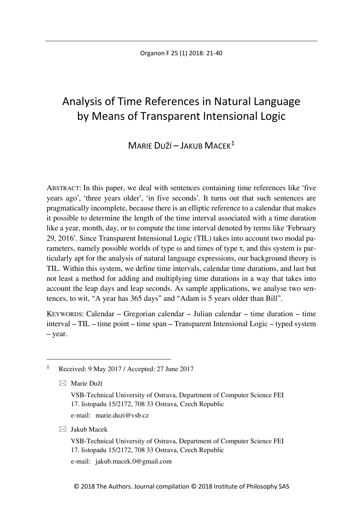# Analysis of Time References in Natural Language by Means of Transparent Intensional Logic

# MARIE DUŽÍ – JAKUB MACEK<sup>1</sup>

ABSTRACT: In this paper, we deal with sentences containing time references like 'five years ago', 'three years older', 'in five seconds'. It turns out that such sentences are pragmatically incomplete, because there is an elliptic reference to a calendar that makes it possible to determine the length of the time interval associated with a time duration like a year, month, day, or to compute the time interval denoted by terms like 'February 29, 2016'. Since Transparent Intensional Logic (TIL) takes into account two modal parameters, namely possible worlds of type  $\omega$  and times of type  $\tau$ , and this system is particularly apt for the analysis of natural language expressions, our background theory is TIL. Within this system, we define time intervals, calendar time durations, and last but not least a method for adding and multiplying time durations in a way that takes into account the leap days and leap seconds. As sample applications, we analyse two sentences, to wit, "A year has 365 days" and "Adam is 5 years older than Bill".

KEYWORDS: Calendar – Gregorian calendar – Julian calendar – time duration – time interval – TIL – time point – time span – Transparent Intensional Logic – typed system – year.

e-mail: [marie.duzi@vsb.cz](mailto:marie.duzi@vsb.cz)

 $\boxtimes$  Jakub Macek

VSB-Technical University of Ostrava, Department of Computer Science FEI 17. listopadu 15/2172, 708 33 Ostrava, Czech Republic

e-mail: [jakub.macek.0@gmail.com](mailto:jakub.macek.0@gmail.com)

<span id="page-0-0"></span> <sup>1</sup> Received: 9 May 2017 / Accepted: 27 June 2017

Marie Duží

VSB-Technical University of Ostrava, Department of Computer Science FEI 17. listopadu 15/2172, 708 33 Ostrava, Czech Republic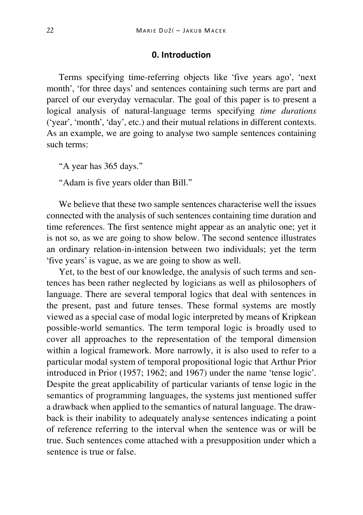## **0. Introduction**

Terms specifying time-referring objects like 'five years ago', 'next month', 'for three days' and sentences containing such terms are part and parcel of our everyday vernacular. The goal of this paper is to present a logical analysis of natural-language terms specifying *time durations* ('year', 'month', 'day', etc.) and their mutual relations in different contexts. As an example, we are going to analyse two sample sentences containing such terms:

"A year has 365 days."

"Adam is five years older than Bill."

We believe that these two sample sentences characterise well the issues connected with the analysis of such sentences containing time duration and time references. The first sentence might appear as an analytic one; yet it is not so, as we are going to show below. The second sentence illustrates an ordinary relation-in-intension between two individuals; yet the term 'five years' is vague, as we are going to show as well.

Yet, to the best of our knowledge, the analysis of such terms and sentences has been rather neglected by logicians as well as philosophers of language. There are several temporal logics that deal with sentences in the present, past and future tenses. These formal systems are mostly viewed as a special case of modal logic interpreted by means of Kripkean possible-world semantics. The term temporal logic is broadly used to cover all approaches to the representation of the temporal dimension within a logical framework. More narrowly, it is also used to refer to a particular modal system of temporal propositional logic that Arthur Prior introduced in Prior (1957; 1962; and 1967) under the name 'tense logic'. Despite the great applicability of particular variants of tense logic in the semantics of programming languages, the systems just mentioned suffer a drawback when applied to the semantics of natural language. The drawback is their inability to adequately analyse sentences indicating a point of reference referring to the interval when the sentence was or will be true. Such sentences come attached with a presupposition under which a sentence is true or false.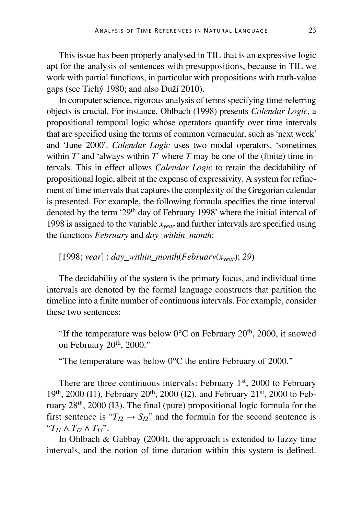This issue has been properly analysed in TIL that is an expressive logic apt for the analysis of sentences with presuppositions, because in TIL we work with partial functions, in particular with propositions with truth-value gaps (see Tichý 1980; and also Duží 2010).

In computer science, rigorous analysis of terms specifying time-referring objects is crucial. For instance, Ohlbach (1998) presents *Calendar Logic*, a propositional temporal logic whose operators quantify over time intervals that are specified using the terms of common vernacular, such as 'next week' and 'June 2000'. *Calendar Logic* uses two modal operators, 'sometimes within  $T'$  and 'always within  $T'$  where  $T$  may be one of the (finite) time intervals. This in effect allows *Calendar Logic* to retain the decidability of propositional logic, albeit at the expense of expressivity. A system for refinement of time intervals that captures the complexity of the Gregorian calendar is presented. For example, the following formula specifies the time interval denoted by the term '29<sup>th</sup> day of February 1998' where the initial interval of 1998 is assigned to the variable *xyear* and further intervals are specified using the functions *February* and *day\_within\_month*:

[1998; *year*] : *day\_within\_month*( $February(x_{year})$ ; 29)

The decidability of the system is the primary focus, and individual time intervals are denoted by the formal language constructs that partition the timeline into a finite number of continuous intervals. For example, consider these two sentences:

"If the temperature was below  $0^{\circ}$ C on February 20<sup>th</sup>, 2000, it snowed on February 20<sup>th</sup>, 2000."

"The temperature was below 0°C the entire February of 2000."

There are three continuous intervals: February 1<sup>st</sup>, 2000 to February  $19<sup>th</sup>$ , 2000 (I1), February 20<sup>th</sup>, 2000 (I2), and February 21<sup>st</sup>, 2000 to February 28th, 2000 (I3). The final (pure) propositional logic formula for the first sentence is " $T_{I2} \rightarrow S_{I2}$ " and the formula for the second sentence is "*TI1* ∧ *TI2* ∧ *TI3*".

In Ohlbach & Gabbay (2004), the approach is extended to fuzzy time intervals, and the notion of time duration within this system is defined.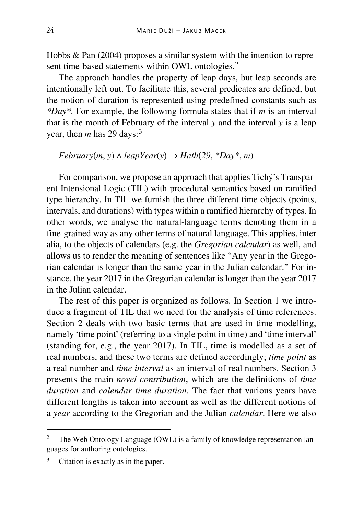Hobbs & Pan (2004) proposes a similar system with the intention to repre-sent time-based statements within OWL ontologies.<sup>[2](#page-3-0)</sup>

The approach handles the property of leap days, but leap seconds are intentionally left out. To facilitate this, several predicates are defined, but the notion of duration is represented using predefined constants such as *\*Day\**. For example, the following formula states that if *m* is an interval that is the month of February of the interval *y* and the interval *y* is a leap year, then  $m$  has 29 days:<sup>[3](#page-3-1)</sup>

 $February(m, y) \wedge leapYear(y) \rightarrow Hath(29, *Day*, m)$ 

For comparison, we propose an approach that applies Tichý's Transparent Intensional Logic (TIL) with procedural semantics based on ramified type hierarchy. In TIL we furnish the three different time objects (points, intervals, and durations) with types within a ramified hierarchy of types. In other words, we analyse the natural-language terms denoting them in a fine-grained way as any other terms of natural language. This applies, inter alia, to the objects of calendars (e.g. the *Gregorian calendar*) as well, and allows us to render the meaning of sentences like "Any year in the Gregorian calendar is longer than the same year in the Julian calendar." For instance, the year 2017 in the Gregorian calendar is longer than the year 2017 in the Julian calendar.

The rest of this paper is organized as follows. In Section 1 we introduce a fragment of TIL that we need for the analysis of time references. Section 2 deals with two basic terms that are used in time modelling, namely 'time point' (referring to a single point in time) and 'time interval' (standing for, e.g., the year 2017). In TIL, time is modelled as a set of real numbers, and these two terms are defined accordingly; *time point* as a real number and *time interval* as an interval of real numbers. Section 3 presents the main *novel contribution*, which are the definitions of *time duration* and *calendar time duration.* The fact that various years have different lengths is taken into account as well as the different notions of a *year* according to the Gregorian and the Julian *calendar*. Here we also

<span id="page-3-0"></span><sup>&</sup>lt;sup>2</sup> The Web Ontology Language (OWL) is a family of knowledge representation languages for authoring ontologies.

<span id="page-3-1"></span><sup>&</sup>lt;sup>3</sup> Citation is exactly as in the paper.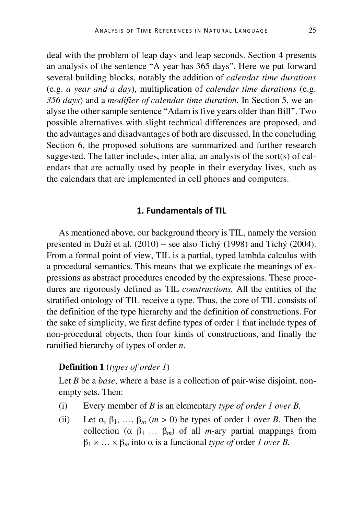deal with the problem of leap days and leap seconds. Section 4 presents an analysis of the sentence "A year has 365 days". Here we put forward several building blocks, notably the addition of *calendar time durations* (e.g. *a year and a day*), multiplication of *calendar time durations* (e.g. *356 days*) and a *modifier of calendar time duration.* In Section 5, we analyse the other sample sentence "Adam is five years older than Bill". Two possible alternatives with slight technical differences are proposed, and the advantages and disadvantages of both are discussed. In the concluding Section 6, the proposed solutions are summarized and further research suggested. The latter includes, inter alia, an analysis of the sort(s) of calendars that are actually used by people in their everyday lives, such as the calendars that are implemented in cell phones and computers.

# **1. Fundamentals of TIL**

As mentioned above, our background theory is TIL, namely the version presented in Duží et al. (2010) – see also Tichý (1998) and Tichý (2004). From a formal point of view, TIL is a partial, typed lambda calculus with a procedural semantics. This means that we explicate the meanings of expressions as abstract procedures encoded by the expressions. These procedures are rigorously defined as TIL *constructions.* All the entities of the stratified ontology of TIL receive a type. Thus, the core of TIL consists of the definition of the type hierarchy and the definition of constructions. For the sake of simplicity, we first define types of order 1 that include types of non-procedural objects, then four kinds of constructions, and finally the ramified hierarchy of types of order *n*.

#### **Definition 1** (*types of order 1*)

Let *B* be a *base*, where a base is a collection of pair-wise disjoint, nonempty sets. Then:

- (i) Every member of *B* is an elementary *type of order 1 over B.*
- (ii) Let  $\alpha$ ,  $\beta_1$ , ...,  $\beta_m$  ( $m > 0$ ) be types of order 1 over *B*. Then the collection  $(\alpha \beta_1 ... \beta_m)$  of all *m*-ary partial mappings from  $\beta_1 \times \ldots \times \beta_m$  into  $\alpha$  is a functional *type of* order *1 over B*.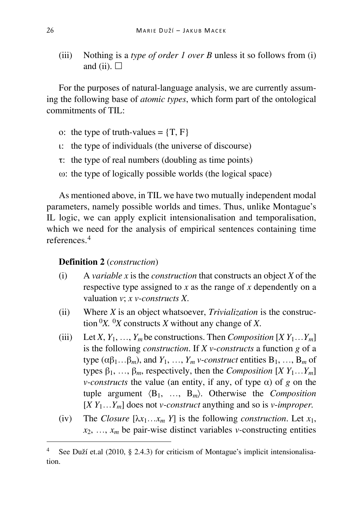(iii) Nothing is a *type of order 1 over B* unless it so follows from (i) and (ii).  $\square$ 

For the purposes of natural-language analysis, we are currently assuming the following base of *atomic types*, which form part of the ontological commitments of TIL:

- o: the type of truth-values =  $\{T, F\}$
- ι: the type of individuals (the universe of discourse)
- τ: the type of real numbers (doubling as time points)
- ω: the type of logically possible worlds (the logical space)

As mentioned above, in TIL we have two mutually independent modal parameters, namely possible worlds and times. Thus, unlike Montague's IL logic, we can apply explicit intensionalisation and temporalisation, which we need for the analysis of empirical sentences containing time references<sup>[4](#page-5-0)</sup>

### **Definition 2** (*construction*)

- (i) A *variable x* is the *construction* that constructs an object *X* of the respective type assigned to *x* as the range of *x* dependently on a valuation *v*; *x v-constructs X*.
- (ii) Where *X* is an object whatsoever, *Trivialization* is the construction  ${}^{0}X$ .  ${}^{0}X$  constructs *X* without any change of *X*.
- (iii) Let *X*,  $Y_1, \ldots, Y_m$  be constructions. Then *Composition*  $[X Y_1 \ldots Y_m]$ is the following *construction*. If *X v*-*constructs* a function *g* of a type  $(\alpha \beta_1 \dots \beta_m)$ , and  $Y_1, \dots, Y_m$  *v*-*construct* entities  $B_1, \dots, B_m$  of types  $\beta_1, \ldots, \beta_m$ , respectively, then the *Composition*  $[X Y_1 \ldots Y_m]$ *v*-constructs the value (an entity, if any, of type  $\alpha$ ) of *g* on the tuple argument 〈B1, …, B*m*〉. Otherwise the *Composition*  $[X Y_1...Y_m]$  does not *v-construct* anything and so is *v-improper.*
- (iv) The *Closure*  $[\lambda x_1 \ldots x_m Y]$  is the following *construction*. Let  $x_1$ ,  $x_2, \ldots, x_m$  be pair-wise distinct variables *v*-constructing entities

<span id="page-5-0"></span> <sup>4</sup> See Duží et.al (2010, § 2.4.3) for criticism of Montague's implicit intensionalisation.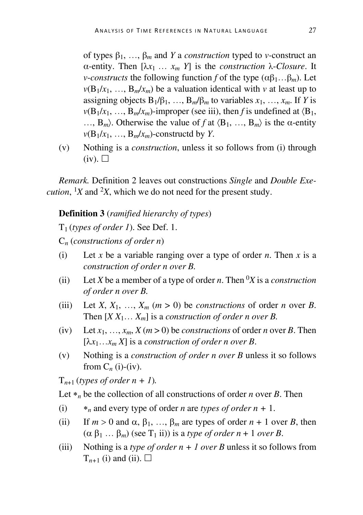of types β1, …, β*<sup>m</sup>* and *Y* a *construction* typed to *v-*construct an α-entity. Then [λ*x*1 … *xm Y*] is the *construction* λ-*Closure*. It *v*-*constructs* the following function *f* of the type  $(\alpha \beta_1 ... \beta_m)$ . Let  $v(B_1/x_1, \ldots, B_m/x_m)$  be a valuation identical with *v* at least up to assigning objects  $B_1/\beta_1$ , …,  $B_m/\beta_m$  to variables  $x_1$ , …,  $x_m$ . If *Y* is  $v(B_1/x_1, \ldots, B_m/x_m)$ -improper (see iii), then *f* is undefined at  $\langle B_1, B_2, \ldots, B_m, B_m, B_m, \ldots \rangle$ ...,  $B_m$ ). Otherwise the value of *f* at  $\langle B_1, ..., B_m \rangle$  is the  $\alpha$ -entity  $v(B_1/x_1, \ldots, B_m/x_m)$ -constructd by *Y*.

(v) Nothing is a *construction*, unless it so follows from (i) through  $(iv)$ .  $\square$ 

*Remark.* Definition 2 leaves out constructions *Single* and *Double Execution*,  $X$  and  $X$ , which we do not need for the present study.

**Definition 3** (*ramified hierarchy of types*)

T1 (*types of order 1*). See Def. 1.

C*<sup>n</sup>* (*constructions of order n*)

- (i) Let *x* be a variable ranging over a type of order *n*. Then *x* is a *construction of order n over B.*
- (ii) Let *X* be a member of a type of order *n*. Then <sup>0</sup>*X* is a *construction of order n over B.*
- (iii) Let *X*,  $X_1$ , ...,  $X_m$  ( $m > 0$ ) be *constructions* of order *n* over *B*. Then  $[X X_1... X_m]$  is a *construction of order n over B*.
- (iv) Let  $x_1, \ldots, x_m, X(m > 0)$  be *constructions* of order *n* over *B*. Then  $[\lambda x_1 \ldots x_m X]$  is a *construction of order n over B*.
- (v) Nothing is a *construction of order n over B* unless it so follows from  $C_n$  (i)-(iv).

 $T_{n+1}$  (*types of order n* + *1*).

Let  $*_n$  be the collection of all constructions of order *n* over *B*. Then

- (i) ∗*<sup>n</sup>* and every type of order *n* are *types of order n +* 1.
- (ii) If  $m > 0$  and  $\alpha$ ,  $\beta_1$ , ...,  $\beta_m$  are types of order  $n + 1$  over *B*, then  $(\alpha \beta_1 ... \beta_m)$  (see T<sub>1</sub> ii)) is a *type of order n* + 1 *over B*.
- (iii) Nothing is a *type of order n + 1 over B* unless it so follows from  $T_{n+1}$  (i) and (ii).  $\Box$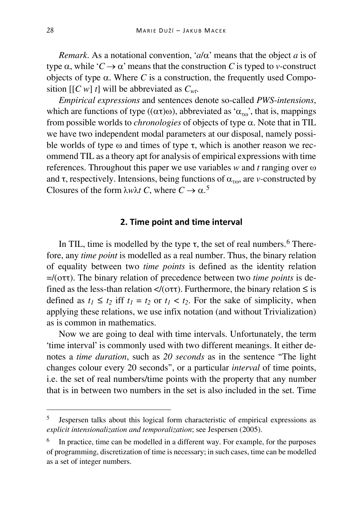*Remark*. As a notational convention, ' $a/\alpha$ ' means that the object *a* is of type  $\alpha$ , while ' $C \rightarrow \alpha$ ' means that the construction *C* is typed to *v*-construct objects of type  $\alpha$ . Where *C* is a construction, the frequently used Composition [[*C w*] *t*] will be abbreviated as *Cwt*.

*Empirical expressions* and sentences denote so-called *PWS*-*intensions*, which are functions of type (( $\alpha\tau$ ) $\omega$ ), abbreviated as ' $\alpha_{\tau\omega}$ ', that is, mappings from possible worlds to *chronologies* of objects of type α. Note that in TIL we have two independent modal parameters at our disposal, namely possible worlds of type  $\omega$  and times of type  $\tau$ , which is another reason we recommend TIL as a theory apt for analysis of empirical expressions with time references. Throughout this paper we use variables *w* and *t* ranging over ω and  $\tau$ , respectively. Intensions, being functions of  $\alpha_{\tau\omega}$ , are *v*-constructed by Closures of the form  $\lambda w \lambda t$  C, where  $C \to \alpha$ .<sup>[5](#page-7-0)</sup>

#### **2. Time point and time interval**

In TIL, time is modelled by the type  $\tau$ , the set of real numbers.<sup>[6](#page-7-1)</sup> Therefore, any *time point* is modelled as a real number. Thus, the binary relation of equality between two *time points* is defined as the identity relation =/(οττ). The binary relation of precedence between two *time points* is defined as the less-than relation  $\langle$ /( $\sigma \tau$ ). Furthermore, the binary relation  $\leq$  is defined as  $t_1 \le t_2$  iff  $t_1 = t_2$  or  $t_1 < t_2$ . For the sake of simplicity, when applying these relations, we use infix notation (and without Trivialization) as is common in mathematics.

Now we are going to deal with time intervals. Unfortunately, the term 'time interval' is commonly used with two different meanings. It either denotes a *time duration*, such as *20 seconds* as in the sentence "The light changes colour every 20 seconds", or a particular *interval* of time points, i.e. the set of real numbers/time points with the property that any number that is in between two numbers in the set is also included in the set. Time

<span id="page-7-0"></span> <sup>5</sup> Jespersen talks about this logical form characteristic of empirical expressions as *explicit intensionalization and temporalization*; see Jespersen (2005).

<span id="page-7-1"></span>In practice, time can be modelled in a different way. For example, for the purposes of programming, discretization of time is necessary; in such cases, time can be modelled as a set of integer numbers.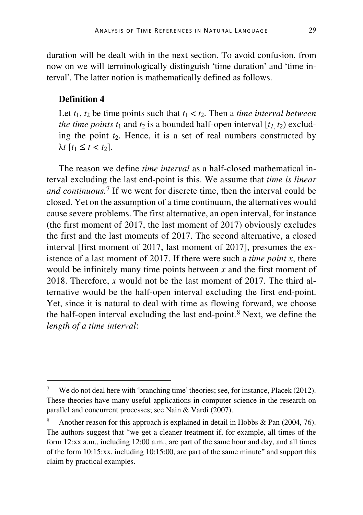duration will be dealt with in the next section. To avoid confusion, from now on we will terminologically distinguish 'time duration' and 'time interval'. The latter notion is mathematically defined as follows.

# **Definition 4**

Let  $t_1$ ,  $t_2$  be time points such that  $t_1 < t_2$ . Then a *time interval between the time points t<sub>1</sub> and*  $t_2$  *is a bounded half-open interval*  $[t_1, t_2)$  *exclud*ing the point *t*2. Hence, it is a set of real numbers constructed by  $λ$ *t*  $[t_1$  ≤ *t* < *t*<sub>2</sub> $]$ .

The reason we define *time interval* as a half-closed mathematical interval excluding the last end-point is this. We assume that *time is linear and continuous.*[7](#page-8-0) If we went for discrete time, then the interval could be closed. Yet on the assumption of a time continuum, the alternatives would cause severe problems. The first alternative, an open interval, for instance (the first moment of 2017, the last moment of 2017) obviously excludes the first and the last moments of 2017. The second alternative, a closed interval [first moment of 2017, last moment of 2017], presumes the existence of a last moment of 2017. If there were such a *time point x*, there would be infinitely many time points between *x* and the first moment of 2018. Therefore, *x* would not be the last moment of 2017. The third alternative would be the half-open interval excluding the first end-point. Yet, since it is natural to deal with time as flowing forward, we choose the half-open interval excluding the last end-point.[8](#page-8-1) Next, we define the *length of a time interval*:

<span id="page-8-0"></span><sup>&</sup>lt;sup>7</sup> We do not deal here with 'branching time' theories; see, for instance, Placek (2012). These theories have many useful applications in computer science in the research on parallel and concurrent processes; see Nain & Vardi (2007).

<span id="page-8-1"></span>Another reason for this approach is explained in detail in Hobbs & Pan (2004, 76). The authors suggest that "we get a cleaner treatment if, for example, all times of the form 12:xx a.m., including 12:00 a.m., are part of the same hour and day, and all times of the form 10:15:xx, including 10:15:00, are part of the same minute" and support this claim by practical examples.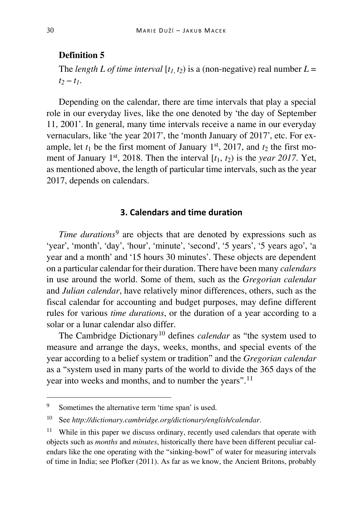# **Definition 5**

The *length L of time interval*  $[t_1, t_2)$  is a (non-negative) real number  $L =$  $t_2 - t_1$ .

Depending on the calendar, there are time intervals that play a special role in our everyday lives, like the one denoted by 'the day of September 11, 2001'. In general, many time intervals receive a name in our everyday vernaculars, like 'the year 2017', the 'month January of 2017', etc. For example, let  $t_1$  be the first moment of January 1<sup>st</sup>, 2017, and  $t_2$  the first moment of January 1<sup>st</sup>, 2018. Then the interval  $[t_1, t_2)$  is the *year 2017*. Yet, as mentioned above, the length of particular time intervals, such as the year 2017, depends on calendars.

# **3. Calendars and time duration**

*Time durations*<sup>[9](#page-9-0)</sup> are objects that are denoted by expressions such as 'year', 'month', 'day', 'hour', 'minute', 'second', '5 years', '5 years ago', 'a year and a month' and '15 hours 30 minutes'. These objects are dependent on a particular calendar for their duration. There have been many *calendars* in use around the world. Some of them, such as the *Gregorian calendar* and *Julian calendar*, have relatively minor differences, others, such as the fiscal calendar for accounting and budget purposes, may define different rules for various *time durations*, or the duration of a year according to a solar or a lunar calendar also differ.

The Cambridge Dictionary<sup>[10](#page-9-1)</sup> defines *calendar* as "the system used to measure and arrange the days, weeks, months, and special events of the year according to a belief system or tradition" and the *Gregorian calendar* as a "system used in many parts of the world to divide the 365 days of the year into weeks and months, and to number the years".[11](#page-9-2)

<span id="page-9-0"></span> <sup>9</sup> Sometimes the alternative term 'time span' is used.

<span id="page-9-1"></span><sup>10</sup> See *http://dictionary.cambridge.org/dictionary/english/calendar*.

<span id="page-9-2"></span> $11$  While in this paper we discuss ordinary, recently used calendars that operate with objects such as *months* and *minutes*, historically there have been different peculiar calendars like the one operating with the "sinking-bowl" of water for measuring intervals of time in India; see Plofker (2011). As far as we know, the Ancient Britons, probably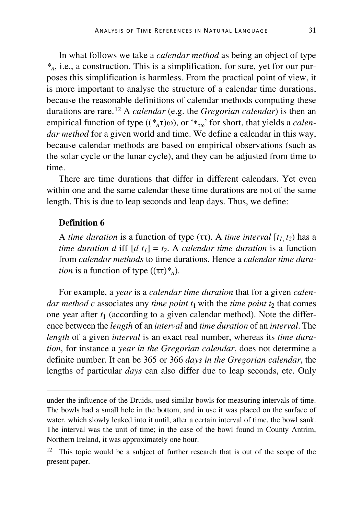In what follows we take a *calendar method* as being an object of type *\*n*, i.e., a construction. This is a simplification, for sure, yet for our purposes this simplification is harmless. From the practical point of view, it is more important to analyse the structure of a calendar time durations, because the reasonable definitions of calendar methods computing these durations are rare.[12](#page-10-0) A *calendar* (e.g. the *Gregorian calendar*) is then an empirical function of type  $((\ast_n\tau)\omega)$ , or  $\ast_{\tau\omega}$  for short, that yields a *calendar method* for a given world and time. We define a calendar in this way, because calendar methods are based on empirical observations (such as the solar cycle or the lunar cycle), and they can be adjusted from time to time.

There are time durations that differ in different calendars. Yet even within one and the same calendar these time durations are not of the same length. This is due to leap seconds and leap days. Thus, we define:

#### **Definition 6**

I

A *time duration* is a function of type (ττ). A *time interval* [ $t_1$ ,  $t_2$ ) has a *time duration d* iff  $[d t_1] = t_2$ . A *calendar time duration* is a function from *calendar methods* to time durations. Hence a *calendar time duration* is a function of type  $((\tau \tau)^*_{n})$ .

For example, a *year* is a *calendar time duration* that for a given *calendar method c* associates any *time point*  $t_1$  with the *time point*  $t_2$  that comes one year after  $t_1$  (according to a given calendar method). Note the difference between the *length* of an *interval* and *time duration* of an *interval*. The *length* of a given *interval* is an exact real number, whereas its *time duration*, for instance a *year in the Gregorian calendar*, does not determine a definite number. It can be 365 or 366 *days in the Gregorian calendar*, the lengths of particular *days* can also differ due to leap seconds, etc. Only

under the influence of the Druids, used similar bowls for measuring intervals of time. The bowls had a small hole in the bottom, and in use it was placed on the surface of water, which slowly leaked into it until, after a certain interval of time, the bowl sank. The interval was the unit of time; in the case of the bowl found in County Antrim, Northern Ireland, it was approximately one hour.

<span id="page-10-0"></span><sup>&</sup>lt;sup>12</sup> This topic would be a subject of further research that is out of the scope of the present paper.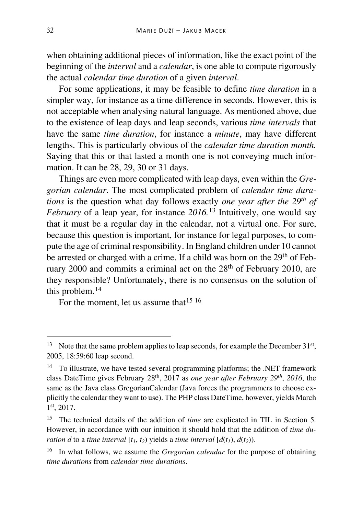when obtaining additional pieces of information, like the exact point of the beginning of the *interval* and a *calendar*, is one able to compute rigorously the actual *calendar time duration* of a given *interval*.

For some applications, it may be feasible to define *time duration* in a simpler way, for instance as a time difference in seconds. However, this is not acceptable when analysing natural language. As mentioned above, due to the existence of leap days and leap seconds, various *time intervals* that have the same *time duration*, for instance a *minute*, may have different lengths. This is particularly obvious of the *calendar time duration month.* Saying that this or that lasted a month one is not conveying much information. It can be 28, 29, 30 or 31 days.

Things are even more complicated with leap days, even within the *Gregorian calendar*. The most complicated problem of *calendar time durations* is the question what day follows exactly *one year after the 29th of February* of a leap year, for instance *2016.*[13](#page-11-0) Intuitively, one would say that it must be a regular day in the calendar, not a virtual one. For sure, because this question is important, for instance for legal purposes, to compute the age of criminal responsibility. In England children under 10 cannot be arrested or charged with a crime. If a child was born on the 29<sup>th</sup> of February 2000 and commits a criminal act on the 28<sup>th</sup> of February 2010, are they responsible? Unfortunately, there is no consensus on the solution of this problem.[14](#page-11-1)

For the moment, let us assume that <sup>[15](#page-11-2) [16](#page-11-3)</sup>

<span id="page-11-0"></span><sup>&</sup>lt;sup>13</sup> Note that the same problem applies to leap seconds, for example the December  $31<sup>st</sup>$ , 2005, 18:59:60 leap second.

<span id="page-11-1"></span> $14$  To illustrate, we have tested several programming platforms; the .NET framework class DateTime gives February 28th, 2017 as *one year after February 29th*, *2016*, the same as the Java class GregorianCalendar (Java forces the programmers to choose explicitly the calendar they want to use). The PHP class DateTime, however, yields March 1st, 2017.

<span id="page-11-2"></span><sup>15</sup> The technical details of the addition of *time* are explicated in TIL in Section 5. However, in accordance with our intuition it should hold that the addition of *time duration d* to a *time interval*  $[t_1, t_2)$  yields a *time interval*  $[d(t_1), d(t_2))$ .

<span id="page-11-3"></span><sup>16</sup> In what follows, we assume the *Gregorian calendar* for the purpose of obtaining *time durations* from *calendar time durations*.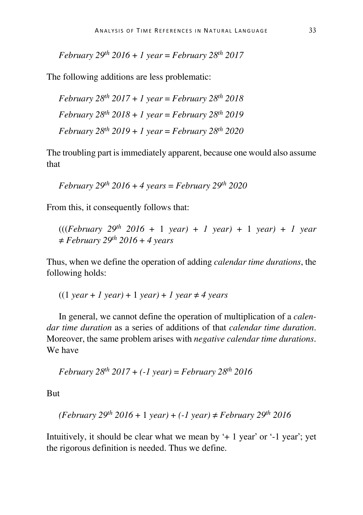*February 29th 2016* + *1 year* = *February 28th 2017*

The following additions are less problematic:

February 
$$
28^{th}
$$
 2017 + 1 year = February  $28^{th}$  2018  
February  $28^{th}$  2018 + 1 year = February  $28^{th}$  2019  
February  $28^{th}$  2019 + 1 year = February  $28^{th}$  2020

The troubling part is immediately apparent, because one would also assume that

*February 29th 2016* + *4 years* = *February 29th 2020*

From this, it consequently follows that:

(((*February 29th 2016* + 1 *year)* + *1 year)* + 1 *year)* + *1 year*  ≠ *February 29th 2016* + *4 years*

Thus, when we define the operation of adding *calendar time durations*, the following holds:

 $((1 \text{ year} + 1 \text{ year}) + 1 \text{ year}) + 1 \text{ year} + 4 \text{ years}$ 

In general, we cannot define the operation of multiplication of a *calendar time duration* as a series of additions of that *calendar time duration*. Moreover, the same problem arises with *negative calendar time durations*. We have

*February 28th 2017* + *(-1 year)* = *February 28th 2016*

But

$$
(February 29th 2016 + 1 year) + (-1 year) \ne February 29th 2016
$$

Intuitively, it should be clear what we mean by  $+1$  year' or  $-1$  year'; yet the rigorous definition is needed. Thus we define.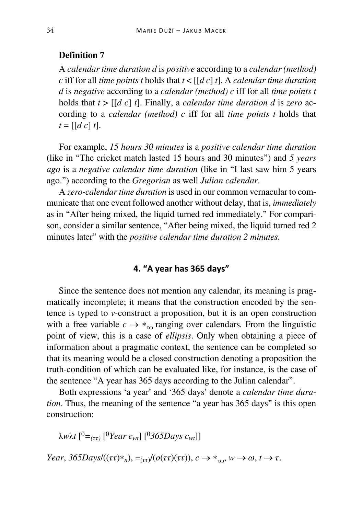# **Definition 7**

A *calendar time duration d* is *positive* according to a *calendar (method) c* iff for all *time points t* holds that *t* < [[*d c*] *t*]. A *calendar time duration d* is *negative* according to a *calendar (method) c* iff for all *time points t* holds that *t* > [[*d c*] *t*]. Finally, a *calendar time duration d* is *zero* according to a *calendar (method) c* iff for all *time points t* holds that  $t = [d \ c] t$ .

For example, *15 hours 30 minutes* is a *positive calendar time duration* (like in "The cricket match lasted 15 hours and 30 minutes") and *5 years ago* is a *negative calendar time duration* (like in "I last saw him 5 years ago.") according to the *Gregorian* as well *Julian calendar*.

A *zero-calendar time duration* is used in our common vernacular to communicate that one event followed another without delay, that is, *immediately* as in "After being mixed, the liquid turned red immediately." For comparison, consider a similar sentence, "After being mixed, the liquid turned red 2 minutes later" with the *positive calendar time duration 2 minutes*.

# **4. "A year has 365 days"**

Since the sentence does not mention any calendar, its meaning is pragmatically incomplete; it means that the construction encoded by the sentence is typed to *v-*construct a proposition, but it is an open construction with a free variable  $c \rightarrow *_{\tau \infty}$  ranging over calendars. From the linguistic point of view, this is a case of *ellipsis*. Only when obtaining a piece of information about a pragmatic context, the sentence can be completed so that its meaning would be a closed construction denoting a proposition the truth-condition of which can be evaluated like, for instance, is the case of the sentence "A year has 365 days according to the Julian calendar".

Both expressions 'a year' and '365 days' denote a *calendar time duration*. Thus, the meaning of the sentence "a year has 365 days" is this open construction:

λ*w*λ*t* [ <sup>0</sup>*=(ττ)* [ <sup>0</sup>*Year cwt*] [0*365Days cwt*]]

*Year*,  $365$ *Days*/ $((\tau \tau)*_n)$ ,  $=_{(\tau \tau)}$ / $(o(\tau \tau)(\tau \tau))$ ,  $c \rightarrow *_{\tau \omega}$ ,  $w \rightarrow \omega$ ,  $t \rightarrow \tau$ .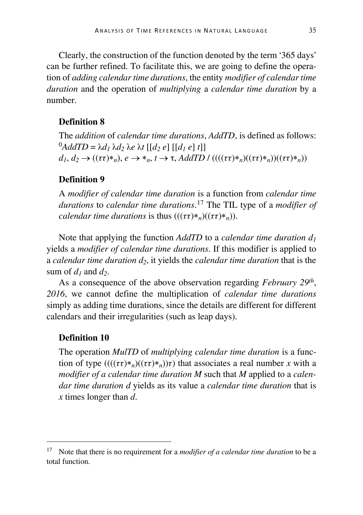Clearly, the construction of the function denoted by the term '365 days' can be further refined. To facilitate this, we are going to define the operation of *adding calendar time durations*, the entity *modifier of calendar time duration* and the operation of *multiplying* a *calendar time duration* by a number.

# **Definition 8**

The *addition* of *calendar time durations*, *AddTD*, is defined as follows:  $^{0}$ *AddTD* =  $\lambda$ *d<sub>1</sub>*  $\lambda$ *d<sub>2</sub>*  $\lambda$ *e*  $\lambda$ *f*  $\lceil d_2 e \rceil$   $\lceil d_1 e \rceil$  *t* $\lceil d_2 e \rceil$  $d_1, d_2 \rightarrow ((\tau \tau) *_{n}), e \rightarrow *_{n}, t \rightarrow \tau, AddTD / (((\tau \tau) *_{n})((\tau \tau) *_{n}))((\tau \tau) *_{n}))$ 

# **Definition 9**

A *modifier of calendar time duration* is a function from *calendar time durations* to *calendar time durations*. [17](#page-14-0) The TIL type of a *modifier of calendar time durations is thus*  $(((\tau \tau)*_{n})( (\tau \tau)*_{n}))$ *.* 

Note that applying the function *AddTD* to a *calendar time duration d1* yields a *modifier of calendar time durations*. If this modifier is applied to a *calendar time duration d2*, it yields the *calendar time duration* that is the sum of  $d_1$  and  $d_2$ .

As a consequence of the above observation regarding *February 29th*, *2016*, we cannot define the multiplication of *calendar time durations* simply as adding time durations, since the details are different for different calendars and their irregularities (such as leap days).

#### **Definition 10**

The operation *MulTD* of *multiplying calendar time duration* is a function of type  $((( (\tau\tau)*_n)( (\tau\tau)*_n)\tau)$  that associates a real number *x* with a *modifier of a calendar time duration M* such that *M* applied to a *calendar time duration d* yields as its value a *calendar time duration* that is *x* times longer than *d*.

<span id="page-14-0"></span> <sup>17</sup> Note that there is no requirement for a *modifier of a calendar time duration* to be a total function.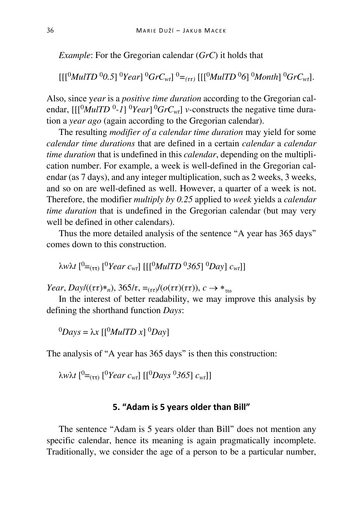*Example*: For the Gregorian calendar (*GrC*) it holds that

 $\left[\frac{[10]}{[0]}$ *MulTD*  $\frac{^{00}O(5)}{^{00}}$  $\frac{^{00}Y}{^{00}}$  $\frac{^{00}GrC_{wt}}{^{00}}$ *.*  $\left[\frac{[10]}{[0]}$ *MulTD*  $\frac{^{00}O(5)}{^{000}}$ *Month* $\left[\frac{^{00}GrC_{wt}}{^{000}}\right]$ .

Also, since y*ear* is a *positive time duration* according to the Gregorian calendar,  $[[[{}^0Mu|TD^0-1] {}^0Year] {}^0GrC_{wt}]$  *v*-constructs the negative time duration a *year ago* (again according to the Gregorian calendar).

The resulting *modifier of a calendar time duration* may yield for some *calendar time durations* that are defined in a certain *calendar* a *calendar time duration* that is undefined in this *calendar*, depending on the multiplication number. For example, a week is well-defined in the Gregorian calendar (as 7 days), and any integer multiplication, such as 2 weeks, 3 weeks, and so on are well-defined as well. However, a quarter of a week is not. Therefore, the modifier *multiply by 0.25* applied to *week* yields a *calendar time duration* that is undefined in the Gregorian calendar (but may very well be defined in other calendars).

Thus the more detailed analysis of the sentence "A year has 365 days" comes down to this construction.

λ*w*λ*t* [ <sup>0</sup>=(ττ) [ <sup>0</sup>*Year cwt*] [[[0*MulTD* <sup>0</sup>*365*] 0*Day*] *cwt*]]

*Year*, *Day* $/((\tau \tau) *_{n})$ , 365/ $\tau$ , =<sub>( $\tau \tau$ </sub>) $/((o(\tau \tau)(\tau \tau))$ ,  $c \rightarrow *_{\tau \omega}$ 

In the interest of better readability, we may improve this analysis by defining the shorthand function *Days*:

 $^{0}$ *Days* =  $\lambda x$  [[ $^{0}$ *MulTD x*]  $^{0}$ *Day*]

The analysis of "A year has 365 days" is then this construction:

λ*w*λ*t* [ <sup>0</sup>=(ττ) [ <sup>0</sup>*Year cwt*] [[0*Days* 0*365*] *cwt*]]

# **5. "Adam is 5 years older than Bill"**

The sentence "Adam is 5 years older than Bill" does not mention any specific calendar, hence its meaning is again pragmatically incomplete. Traditionally, we consider the age of a person to be a particular number,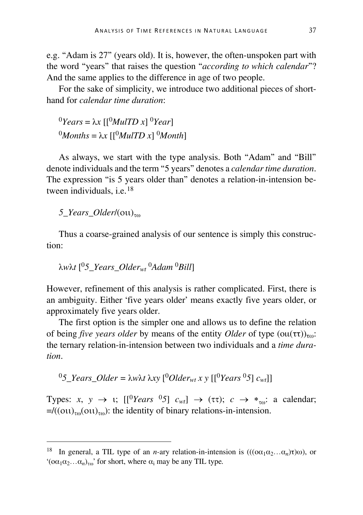e.g. "Adam is 27" (years old). It is, however, the often-unspoken part with the word "years" that raises the question "*according to which calendar*"? And the same applies to the difference in age of two people.

For the sake of simplicity, we introduce two additional pieces of shorthand for *calendar time duration*:

 $<sup>0</sup> Years = λx$  [[<sup>0</sup>*MulTD x*] <sup>0</sup>*Year*]</sup> <sup>0</sup>*Months* = λ*x*  $\left[\frac{0}{M}$ *MulTD x* $\right]$ <sup>0</sup>*Month*]

As always, we start with the type analysis. Both "Adam" and "Bill" denote individuals and the term "5 years" denotes a *calendar time duration*. The expression "is 5 years older than" denotes a relation-in-intension be-tween individuals, i.e.<sup>[18](#page-16-0)</sup>

*5 Years Older*/(οιι)<sub>τω</sub>

Thus a coarse-grained analysis of our sentence is simply this construction:

$$
\lambda w \lambda t
$$
 [°5\_Years\_Older<sub>wt</sub>° $\lambda$ dam<sup>0</sup>Bill]

However, refinement of this analysis is rather complicated. First, there is an ambiguity. Either 'five years older' means exactly five years older, or approximately five years older.

The first option is the simpler one and allows us to define the relation of being *five years older* by means of the entity *Older* of type  $(0\mu(\tau\tau))_{\tau\omega}$ : the ternary relation-in-intension between two individuals and a *time duration*.

$$
{}^{0}5_{\text{I}} \text{Pears}_{\text{I}} Older = \lambda w \lambda t \lambda xy \, [{}^{0}Older_{wt} x y \, [{}^{0} \text{ Years } {}^{0}5] \, c_{wt}]
$$

Types: *x*,  $y \rightarrow 1$ ;  $\left[\frac{0}{\text{Years}} \frac{0.5}{0.5}\right] c_{wt} \rightarrow (\tau \tau); c \rightarrow *_{\tau \omega}$ ; a calendar;  $=/((\text{out})_{\tau\omega}(\text{out})_{\tau\omega})$ : the identity of binary relations-in-intension.

<span id="page-16-0"></span><sup>&</sup>lt;sup>18</sup> In general, a TIL type of an *n*-ary relation-in-intension is  $(((\alpha_1\alpha_2...\alpha_n)\tau)\omega)$ , or ' $(\sigma \alpha_1 \alpha_2 \ldots \alpha_n)_{\tau \omega}$ ' for short, where  $\alpha_i$  may be any TIL type.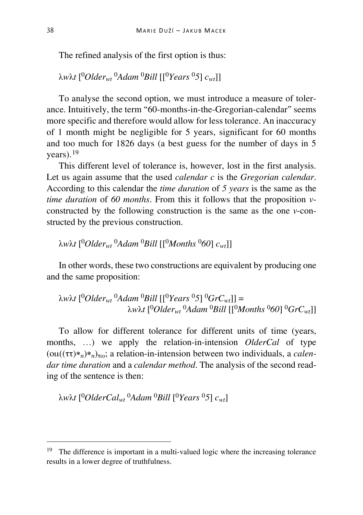The refined analysis of the first option is thus:

λ*w*λ*t* [ <sup>0</sup>*Olderwt* <sup>0</sup>*Adam* 0*Bill* [[0*Years* 0*5*] *cwt*]]

To analyse the second option, we must introduce a measure of tolerance. Intuitively, the term "60-months-in-the-Gregorian-calendar" seems more specific and therefore would allow for less tolerance. An inaccuracy of 1 month might be negligible for 5 years, significant for 60 months and too much for 1826 days (a best guess for the number of days in 5 years).[19](#page-17-0)

This different level of tolerance is, however, lost in the first analysis. Let us again assume that the used *calendar c* is the *Gregorian calendar*. According to this calendar the *time duration* of *5 years* is the same as the *time duration* of *60 months*. From this it follows that the proposition *v*constructed by the following construction is the same as the one *v*-constructed by the previous construction.

λ*w*λ*t* [ <sup>0</sup>*Olderwt* <sup>0</sup>*Adam* 0*Bill* [[0*Months* 0*60*] *cwt*]]

In other words, these two constructions are equivalent by producing one and the same proposition:

λ*w*λ*t* [ <sup>0</sup>*Olderwt* <sup>0</sup>*Adam* 0*Bill* [[0*Years* 0*5*] 0*GrCwt*]] = λ*w*λ*t* [ <sup>0</sup>*Olderwt* <sup>0</sup>*Adam* 0*Bill* [[0*Months* 0*60*] 0*GrCwt*]]

To allow for different tolerance for different units of time (years, months, …) we apply the relation-in-intension *OlderCal* of type (oιι((ττ)∗*n*)∗*n*)τω; a relation-in-intension between two individuals, a *calendar time duration* and a *calendar method*. The analysis of the second reading of the sentence is then:

λ*w*λ*t* [ <sup>0</sup>*OlderCalwt* <sup>0</sup>*Adam* 0*Bill* [ <sup>0</sup>*Years* 0*5*] *cwt*]

<span id="page-17-0"></span><sup>&</sup>lt;sup>19</sup> The difference is important in a multi-valued logic where the increasing tolerance results in a lower degree of truthfulness.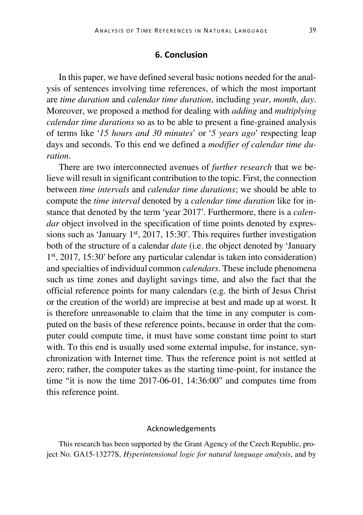## **6. Conclusion**

In this paper, we have defined several basic notions needed for the analysis of sentences involving time references, of which the most important are *time duration* and *calendar time duration*, including *year*, *month*, *day*. Moreover, we proposed a method for dealing with *adding* and *multiplying calendar time durations* so as to be able to present a fine-grained analysis of terms like '*15 hours and 30 minutes*' or '*5 years ago*' respecting leap days and seconds. To this end we defined a *modifier of calendar time duration*.

There are two interconnected avenues of *further research* that we believe will result in significant contribution to the topic. First, the connection between *time intervals* and *calendar time durations*; we should be able to compute the *time interval* denoted by a *calendar time duration* like for instance that denoted by the term 'year 2017'. Furthermore, there is a *calendar* object involved in the specification of time points denoted by expressions such as 'January  $1<sup>st</sup>$ , 2017, 15:30'. This requires further investigation both of the structure of a calendar *date* (i.e. the object denoted by 'January 1st, 2017, 15:30' before any particular calendar is taken into consideration) and specialties of individual common *calendars*. These include phenomena such as time zones and daylight savings time, and also the fact that the official reference points for many calendars (e.g. the birth of Jesus Christ or the creation of the world) are imprecise at best and made up at worst. It is therefore unreasonable to claim that the time in any computer is computed on the basis of these reference points, because in order that the computer could compute time, it must have some constant time point to start with. To this end is usually used some external impulse, for instance, synchronization with Internet time. Thus the reference point is not settled at zero; rather, the computer takes as the starting time-point, for instance the time "it is now the time 2017-06-01, 14:36:00" and computes time from this reference point.

#### Acknowledgements

This research has been supported by the Grant Agency of the Czech Republic, project No. GA15-13277S, *Hyperintensional logic for natural language analysis*, and by